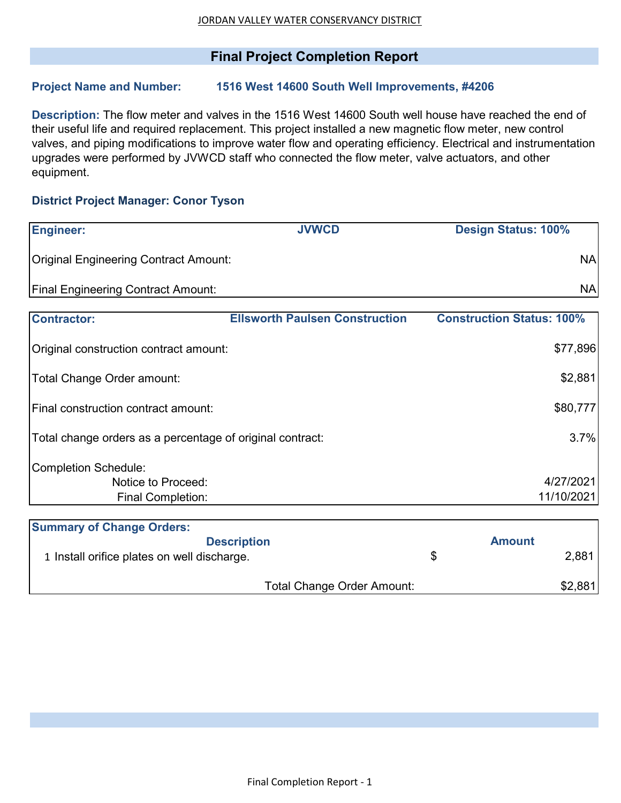## **Final Project Completion Report**

## **Project Name and Number: 1516 West 14600 South Well Improvements, #4206**

**Description:** The flow meter and valves in the 1516 West 14600 South well house have reached the end of their useful life and required replacement. This project installed a new magnetic flow meter, new control valves, and piping modifications to improve water flow and operating efficiency. Electrical and instrumentation upgrades were performed by JVWCD staff who connected the flow meter, valve actuators, and other equipment.

## **District Project Manager: Conor Tyson**

| <b>Engineer:</b>                                          | <b>JVWCD</b>                          | <b>Design Status: 100%</b>       |
|-----------------------------------------------------------|---------------------------------------|----------------------------------|
| <b>Original Engineering Contract Amount:</b>              |                                       | <b>NA</b>                        |
| <b>Final Engineering Contract Amount:</b>                 |                                       | <b>NA</b>                        |
| <b>Contractor:</b>                                        | <b>Ellsworth Paulsen Construction</b> | <b>Construction Status: 100%</b> |
| Original construction contract amount:                    |                                       | \$77,896                         |
| Total Change Order amount:                                |                                       | \$2,881                          |
| lFinal construction contract amount:                      |                                       | \$80,777                         |
| Total change orders as a percentage of original contract: |                                       | 3.7%                             |
| Completion Schedule:                                      |                                       |                                  |
| Notice to Proceed:                                        |                                       | 4/27/2021                        |
| <b>Final Completion:</b>                                  |                                       | 11/10/2021                       |
| <b>Summary of Change Orders:</b>                          |                                       |                                  |
|                                                           | <b>Description</b>                    | <b>Amount</b>                    |
| 1 Install orifice plates on well discharge.               |                                       | \$<br>2,881                      |
|                                                           | <b>Total Change Order Amount:</b>     | \$2,881                          |